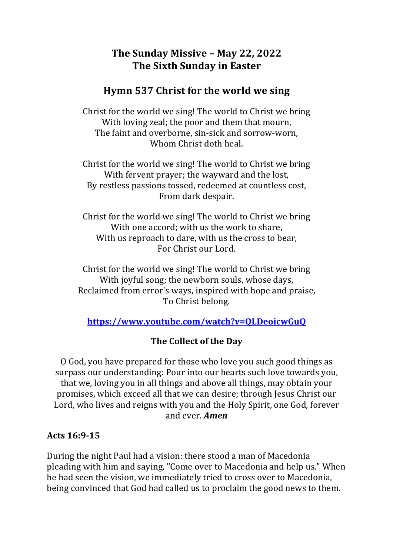# **The Sunday Missive - May 22, 2022 The Sixth Sunday in Easter**

### **Hymn 537 Christ for the world we sing**

Christ for the world we sing! The world to Christ we bring With loving zeal; the poor and them that mourn, The faint and overborne, sin-sick and sorrow-worn, Whom Christ doth heal.

Christ for the world we sing! The world to Christ we bring With fervent prayer; the wayward and the lost, By restless passions tossed, redeemed at countless cost, From dark despair.

Christ for the world we sing! The world to Christ we bring With one accord; with us the work to share. With us reproach to dare, with us the cross to bear, For Christ our Lord.

Christ for the world we sing! The world to Christ we bring With joyful song; the newborn souls, whose days, Reclaimed from error's ways, inspired with hope and praise, To Christ belong.

**https://www.youtube.com/watch?v=QLDeoicwGuQ**

# **The Collect of the Day**

O God, you have prepared for those who love you such good things as surpass our understanding: Pour into our hearts such love towards you, that we, loving you in all things and above all things, may obtain your promises, which exceed all that we can desire; through Jesus Christ our Lord, who lives and reigns with you and the Holy Spirit, one God, forever and ever. **Amen** 

### **Acts 16:9-15**

During the night Paul had a vision: there stood a man of Macedonia pleading with him and saying, "Come over to Macedonia and help us." When he had seen the vision, we immediately tried to cross over to Macedonia, being convinced that God had called us to proclaim the good news to them.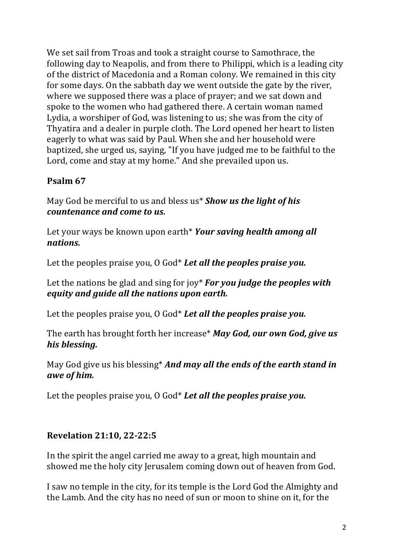We set sail from Troas and took a straight course to Samothrace, the following day to Neapolis, and from there to Philippi, which is a leading city of the district of Macedonia and a Roman colony. We remained in this city for some days. On the sabbath day we went outside the gate by the river, where we supposed there was a place of prayer; and we sat down and spoke to the women who had gathered there. A certain woman named Lydia, a worshiper of God, was listening to us; she was from the city of Thyatira and a dealer in purple cloth. The Lord opened her heart to listen eagerly to what was said by Paul. When she and her household were baptized, she urged us, saying, "If you have judged me to be faithful to the Lord, come and stay at my home." And she prevailed upon us.

### **Psalm 67**

May God be merciful to us and bless us<sup>\*</sup> **Show us the light of his** *countenance and come to us.*

Let your ways be known upon earth<sup>\*</sup> *Your saving health among all nations.*

Let the peoples praise you, 0 God<sup>\*</sup> Let all the peoples praise you.

Let the nations be glad and sing for joy\* **For you judge the peoples with** *equity and guide all the nations upon earth.*

Let the peoples praise you, 0 God<sup>\*</sup> Let all the peoples praise you.

The earth has brought forth her increase<sup>\*</sup> May God, our own God, give us *his blessing.*

May God give us his blessing<sup>\*</sup> And may all the ends of the earth stand in *awe of him.*

Let the peoples praise you, O God<sup>\*</sup> Let all the peoples praise you.

### **Revelation 21:10, 22-22:5**

In the spirit the angel carried me away to a great, high mountain and showed me the holy city Jerusalem coming down out of heaven from God.

I saw no temple in the city, for its temple is the Lord God the Almighty and the Lamb. And the city has no need of sun or moon to shine on it, for the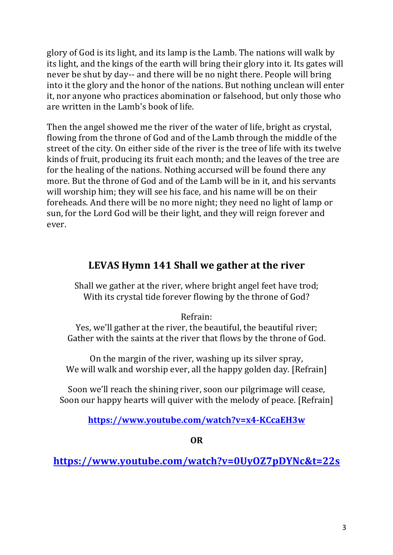glory of God is its light, and its lamp is the Lamb. The nations will walk by its light, and the kings of the earth will bring their glory into it. Its gates will never be shut by day-- and there will be no night there. People will bring into it the glory and the honor of the nations. But nothing unclean will enter it, nor anyone who practices abomination or falsehood, but only those who are written in the Lamb's book of life.

Then the angel showed me the river of the water of life, bright as crystal, flowing from the throne of God and of the Lamb through the middle of the street of the city. On either side of the river is the tree of life with its twelve kinds of fruit, producing its fruit each month; and the leaves of the tree are for the healing of the nations. Nothing accursed will be found there any more. But the throne of God and of the Lamb will be in it, and his servants will worship him; they will see his face, and his name will be on their foreheads. And there will be no more night; they need no light of lamp or sun, for the Lord God will be their light, and they will reign forever and ever.

# **LEVAS** Hymn 141 Shall we gather at the river

Shall we gather at the river, where bright angel feet have trod; With its crystal tide forever flowing by the throne of God?

### Refrain:

Yes, we'll gather at the river, the beautiful, the beautiful river; Gather with the saints at the river that flows by the throne of God.

On the margin of the river, washing up its silver spray, We will walk and worship ever, all the happy golden day. [Refrain]

Soon we'll reach the shining river, soon our pilgrimage will cease, Soon our happy hearts will quiver with the melody of peace. [Refrain]

**https://www.youtube.com/watch?v=x4-KCcaEH3w**

**OR**

**https://www.youtube.com/watch?v=0UyOZ7pDYNc&t=22s**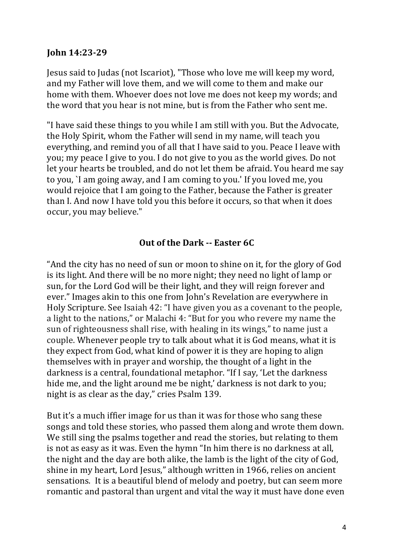#### **John 14:23-29**

Jesus said to Judas (not Iscariot), "Those who love me will keep my word, and my Father will love them, and we will come to them and make our home with them. Whoever does not love me does not keep my words; and the word that you hear is not mine, but is from the Father who sent me.

"I have said these things to you while I am still with you. But the Advocate, the Holy Spirit, whom the Father will send in my name, will teach you everything, and remind you of all that I have said to you. Peace I leave with you; my peace I give to you. I do not give to you as the world gives. Do not let your hearts be troubled, and do not let them be afraid. You heard me say to you, `I am going away, and I am coming to you.' If you loved me, you would rejoice that I am going to the Father, because the Father is greater than I. And now I have told you this before it occurs, so that when it does occur, you may believe."

#### **Out of the Dark -- Easter 6C**

"And the city has no need of sun or moon to shine on it, for the glory of God is its light. And there will be no more night; they need no light of lamp or sun, for the Lord God will be their light, and they will reign forever and ever." Images akin to this one from John's Revelation are everywhere in Holy Scripture. See Isaiah 42: "I have given you as a covenant to the people, a light to the nations," or Malachi 4: "But for you who revere my name the sun of righteousness shall rise, with healing in its wings," to name just a couple. Whenever people try to talk about what it is God means, what it is they expect from God, what kind of power it is they are hoping to align themselves with in prayer and worship, the thought of a light in the darkness is a central, foundational metaphor. "If I say, 'Let the darkness' hide me, and the light around me be night,' darkness is not dark to you; night is as clear as the day," cries Psalm 139.

But it's a much iffier image for us than it was for those who sang these songs and told these stories, who passed them along and wrote them down. We still sing the psalms together and read the stories, but relating to them is not as easy as it was. Even the hymn "In him there is no darkness at all, the night and the day are both alike, the lamb is the light of the city of God, shine in my heart, Lord Jesus," although written in 1966, relies on ancient sensations. It is a beautiful blend of melody and poetry, but can seem more romantic and pastoral than urgent and vital the way it must have done even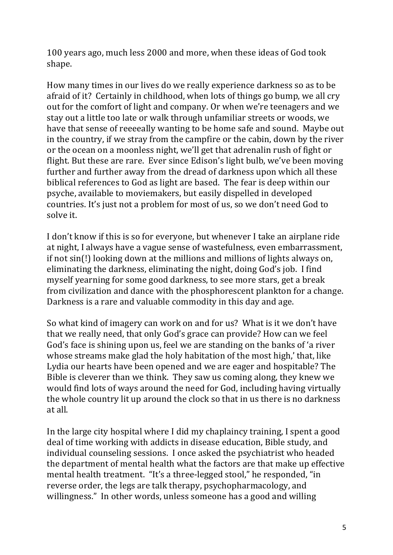100 years ago, much less 2000 and more, when these ideas of God took shape. 

How many times in our lives do we really experience darkness so as to be afraid of it? Certainly in childhood, when lots of things go bump, we all cry out for the comfort of light and company. Or when we're teenagers and we stay out a little too late or walk through unfamiliar streets or woods, we have that sense of reeeeally wanting to be home safe and sound. Maybe out in the country, if we stray from the campfire or the cabin, down by the river or the ocean on a moonless night, we'll get that adrenalin rush of fight or flight. But these are rare. Ever since Edison's light bulb, we've been moving further and further away from the dread of darkness upon which all these biblical references to God as light are based. The fear is deep within our psyche, available to moviemakers, but easily dispelled in developed countries. It's just not a problem for most of us, so we don't need God to solve it.

I don't know if this is so for everyone, but whenever I take an airplane ride at night, I always have a vague sense of wastefulness, even embarrassment, if not sin(!) looking down at the millions and millions of lights always on, eliminating the darkness, eliminating the night, doing God's job. I find myself yearning for some good darkness, to see more stars, get a break from civilization and dance with the phosphorescent plankton for a change. Darkness is a rare and valuable commodity in this day and age.

So what kind of imagery can work on and for us? What is it we don't have that we really need, that only God's grace can provide? How can we feel God's face is shining upon us, feel we are standing on the banks of 'a river whose streams make glad the holy habitation of the most high,' that, like Lydia our hearts have been opened and we are eager and hospitable? The Bible is cleverer than we think. They saw us coming along, they knew we would find lots of ways around the need for God, including having virtually the whole country lit up around the clock so that in us there is no darkness at all.

In the large city hospital where I did my chaplaincy training, I spent a good deal of time working with addicts in disease education, Bible study, and individual counseling sessions. I once asked the psychiatrist who headed the department of mental health what the factors are that make up effective mental health treatment. "It's a three-legged stool," he responded, "in reverse order, the legs are talk therapy, psychopharmacology, and willingness." In other words, unless someone has a good and willing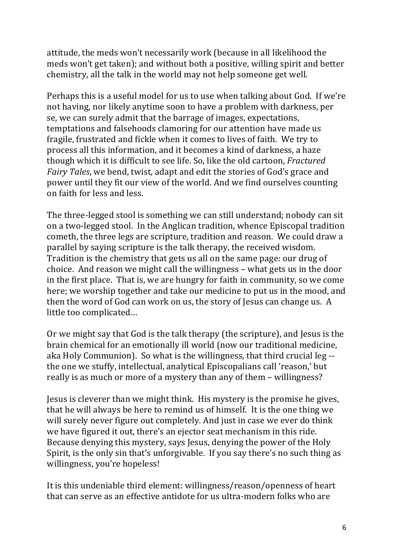attitude, the meds won't necessarily work (because in all likelihood the meds won't get taken); and without both a positive, willing spirit and better chemistry, all the talk in the world may not help someone get well.

Perhaps this is a useful model for us to use when talking about God. If we're not having, nor likely anytime soon to have a problem with darkness, per se, we can surely admit that the barrage of images, expectations, temptations and falsehoods clamoring for our attention have made us fragile, frustrated and fickle when it comes to lives of faith. We try to process all this information, and it becomes a kind of darkness, a haze though which it is difficult to see life. So, like the old cartoon, *Fractured Fairy Tales*, we bend, twist, adapt and edit the stories of God's grace and power until they fit our view of the world. And we find ourselves counting on faith for less and less.

The three-legged stool is something we can still understand; nobody can sit on a two-legged stool. In the Anglican tradition, whence Episcopal tradition cometh, the three legs are scripture, tradition and reason. We could draw a parallel by saying scripture is the talk therapy, the received wisdom. Tradition is the chemistry that gets us all on the same page: our drug of choice. And reason we might call the willingness – what gets us in the door in the first place. That is, we are hungry for faith in community, so we come here; we worship together and take our medicine to put us in the mood, and then the word of God can work on us, the story of Jesus can change us. A little too complicated...

Or we might say that God is the talk therapy (the scripture), and Jesus is the brain chemical for an emotionally ill world (now our traditional medicine, aka Holy Communion). So what is the willingness, that third crucial leg -the one we stuffy, intellectual, analytical Episcopalians call 'reason,' but really is as much or more of a mystery than any of them – willingness?

Jesus is cleverer than we might think. His mystery is the promise he gives, that he will always be here to remind us of himself. It is the one thing we will surely never figure out completely. And just in case we ever do think we have figured it out, there's an ejector seat mechanism in this ride. Because denying this mystery, says Jesus, denying the power of the Holy Spirit, is the only sin that's unforgivable. If you say there's no such thing as willingness, you're hopeless!

It is this undeniable third element: willingness/reason/openness of heart that can serve as an effective antidote for us ultra-modern folks who are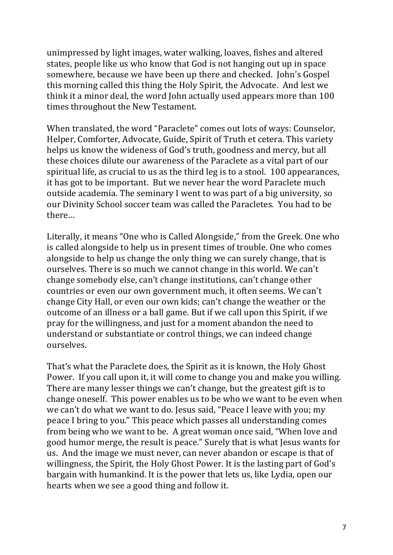unimpressed by light images, water walking, loaves, fishes and altered states, people like us who know that God is not hanging out up in space somewhere, because we have been up there and checked. John's Gospel this morning called this thing the Holy Spirit, the Advocate. And lest we think it a minor deal, the word John actually used appears more than 100 times throughout the New Testament.

When translated, the word "Paraclete" comes out lots of ways: Counselor, Helper, Comforter, Advocate, Guide, Spirit of Truth et cetera. This variety helps us know the wideness of God's truth, goodness and mercy, but all these choices dilute our awareness of the Paraclete as a vital part of our spiritual life, as crucial to us as the third leg is to a stool. 100 appearances, it has got to be important. But we never hear the word Paraclete much outside academia. The seminary I went to was part of a big university, so our Divinity School soccer team was called the Paracletes. You had to be there… 

Literally, it means "One who is Called Alongside," from the Greek. One who is called alongside to help us in present times of trouble. One who comes alongside to help us change the only thing we can surely change, that is ourselves. There is so much we cannot change in this world. We can't change somebody else, can't change institutions, can't change other countries or even our own government much, it often seems. We can't change City Hall, or even our own kids; can't change the weather or the outcome of an illness or a ball game. But if we call upon this Spirit, if we pray for the willingness, and just for a moment abandon the need to understand or substantiate or control things, we can indeed change ourselves.

That's what the Paraclete does, the Spirit as it is known, the Holy Ghost Power. If you call upon it, it will come to change you and make you willing. There are many lesser things we can't change, but the greatest gift is to change oneself. This power enables us to be who we want to be even when we can't do what we want to do. Jesus said, "Peace I leave with you; my peace I bring to you." This peace which passes all understanding comes from being who we want to be. A great woman once said, "When love and good humor merge, the result is peace." Surely that is what Jesus wants for us. And the image we must never, can never abandon or escape is that of willingness, the Spirit, the Holy Ghost Power. It is the lasting part of God's bargain with humankind. It is the power that lets us, like Lydia, open our hearts when we see a good thing and follow it.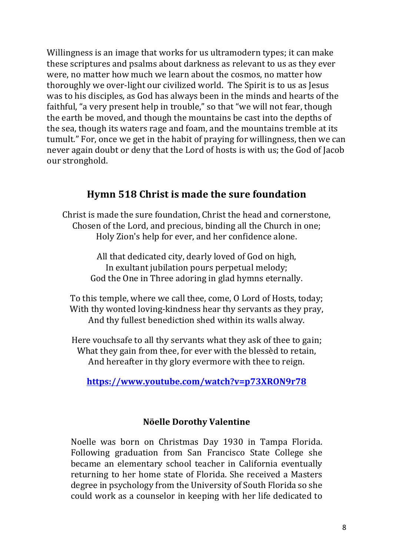Willingness is an image that works for us ultramodern types; it can make these scriptures and psalms about darkness as relevant to us as they ever were, no matter how much we learn about the cosmos, no matter how thoroughly we over-light our civilized world. The Spirit is to us as Jesus was to his disciples, as God has always been in the minds and hearts of the faithful, "a very present help in trouble," so that "we will not fear, though the earth be moved, and though the mountains be cast into the depths of the sea, though its waters rage and foam, and the mountains tremble at its tumult." For, once we get in the habit of praying for willingness, then we can never again doubt or deny that the Lord of hosts is with us; the God of Jacob our stronghold.

# **Hymn 518 Christ is made the sure foundation**

Christ is made the sure foundation, Christ the head and cornerstone, Chosen of the Lord, and precious, binding all the Church in one; Holy Zion's help for ever, and her confidence alone.

> All that dedicated city, dearly loved of God on high, In exultant jubilation pours perpetual melody; God the One in Three adoring in glad hymns eternally.

To this temple, where we call thee, come, O Lord of Hosts, today; With thy wonted loving-kindness hear thy servants as they pray, And thy fullest benediction shed within its walls alway.

Here vouchsafe to all thy servants what they ask of thee to gain; What they gain from thee, for ever with the blessed to retain, And hereafter in thy glory evermore with thee to reign.

**https://www.youtube.com/watch?v=p73XRON9r78**

### **Nöelle Dorothy Valentine**

Noelle was born on Christmas Day 1930 in Tampa Florida. Following graduation from San Francisco State College she became an elementary school teacher in California eventually returning to her home state of Florida. She received a Masters degree in psychology from the University of South Florida so she could work as a counselor in keeping with her life dedicated to